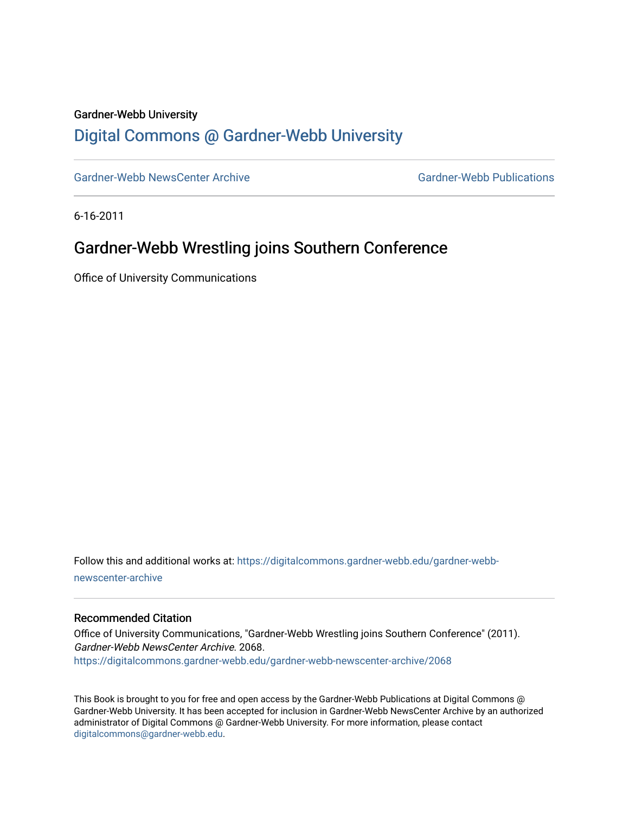#### Gardner-Webb University

## [Digital Commons @ Gardner-Webb University](https://digitalcommons.gardner-webb.edu/)

[Gardner-Webb NewsCenter Archive](https://digitalcommons.gardner-webb.edu/gardner-webb-newscenter-archive) Gardner-Webb Publications

6-16-2011

## Gardner-Webb Wrestling joins Southern Conference

Office of University Communications

Follow this and additional works at: [https://digitalcommons.gardner-webb.edu/gardner-webb](https://digitalcommons.gardner-webb.edu/gardner-webb-newscenter-archive?utm_source=digitalcommons.gardner-webb.edu%2Fgardner-webb-newscenter-archive%2F2068&utm_medium=PDF&utm_campaign=PDFCoverPages)[newscenter-archive](https://digitalcommons.gardner-webb.edu/gardner-webb-newscenter-archive?utm_source=digitalcommons.gardner-webb.edu%2Fgardner-webb-newscenter-archive%2F2068&utm_medium=PDF&utm_campaign=PDFCoverPages)

#### Recommended Citation

Office of University Communications, "Gardner-Webb Wrestling joins Southern Conference" (2011). Gardner-Webb NewsCenter Archive. 2068. [https://digitalcommons.gardner-webb.edu/gardner-webb-newscenter-archive/2068](https://digitalcommons.gardner-webb.edu/gardner-webb-newscenter-archive/2068?utm_source=digitalcommons.gardner-webb.edu%2Fgardner-webb-newscenter-archive%2F2068&utm_medium=PDF&utm_campaign=PDFCoverPages) 

This Book is brought to you for free and open access by the Gardner-Webb Publications at Digital Commons @ Gardner-Webb University. It has been accepted for inclusion in Gardner-Webb NewsCenter Archive by an authorized administrator of Digital Commons @ Gardner-Webb University. For more information, please contact [digitalcommons@gardner-webb.edu](mailto:digitalcommons@gardner-webb.edu).